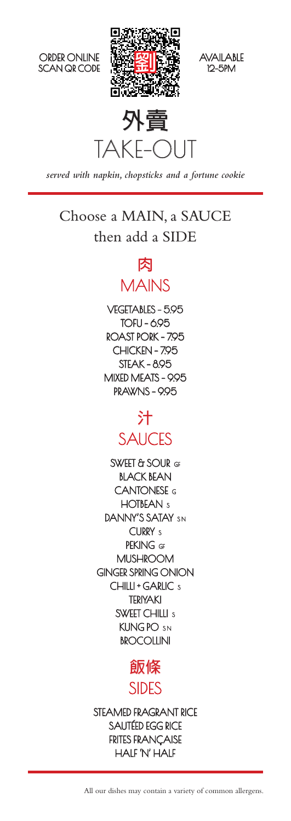







*served with napkin, chopsticks and a fortune cookie*

## Choose a MAIN, a SAUCE then add a SIDE

## **肉** MAINS

VEGETABLES - 5.95 TOFU - 6.95 ROAST PORK - 7.95 CHICKEN - 7.95 STEAK - 8.95 MIXED MEATS - 9.95 PRAWNS - 995

## **汁 SAUCES**

SWEET & SOUR GF BLACK BEAN CANTONESE G HOTBEAN<sub>s</sub> DANNY'S SATAY SN CURRY<sub>s</sub> PFKING GF MUSHROOM GINGER SPRING ONION CHILLI + GARLIC s TERIYAKI SWEET CHILLI <sub>S</sub> KUNG PO SN **BROCOLLINI** 



STEAMED FRAGRANT RICE SAUTÉED EGG RICE FRITES FRANÇAISE HALF 'N' HALF